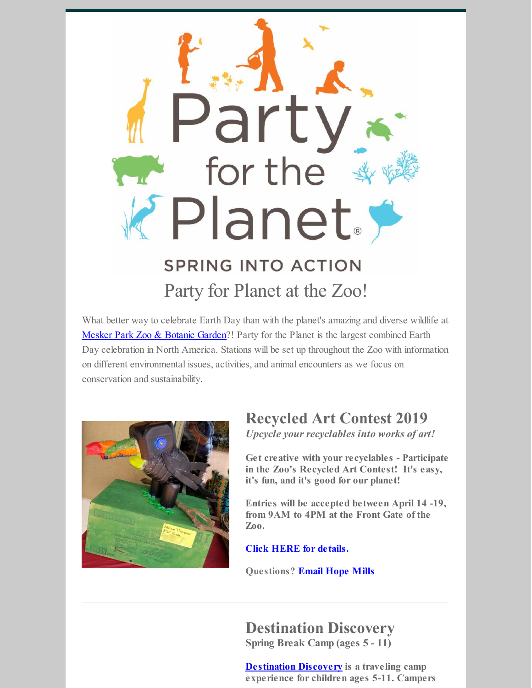

What better way to celebrate Earth Day than with the planet's amazing and diverse wildlife at [Mesker](https://www.meskerparkzoo.com/) Park Zoo & Botanic Garden?! Party for the Planet is the largest combined Earth Day celebration in North America. Stations will be set up throughout the Zoo with information on different environmental issues, activities, and animal encounters as we focus on conservation and sustainability.



### **Recycled Art Contest 2019**

*Upcycle your recyclables into works of art!*

**Get creative with your recyclables - Participate in the Zoo's Recycled Art Contest! It's easy, it's fun, and it's good for our planet!**

**Entries will be accepted between April 14 -19, from 9AM to 4PM at the Front Gate of the Zoo.**

**Click HERE for [details.](https://files.constantcontact.com/122c30b3101/ad3cd847-27f3-452e-9df2-e827ffe68625.pdf)**

**Questions? [Email](mailto:hmills@meskerparkzoo.com) Hope Mills**

# **Destination Discovery**

**Spring Break Camp (ages 5 - 11)**

**[Destination](https://campscui.active.com/orgs/WesselmanNatureSociety#/selectSessions/2555315) Discovery is a traveling camp experience for children ages 5-11. Campers**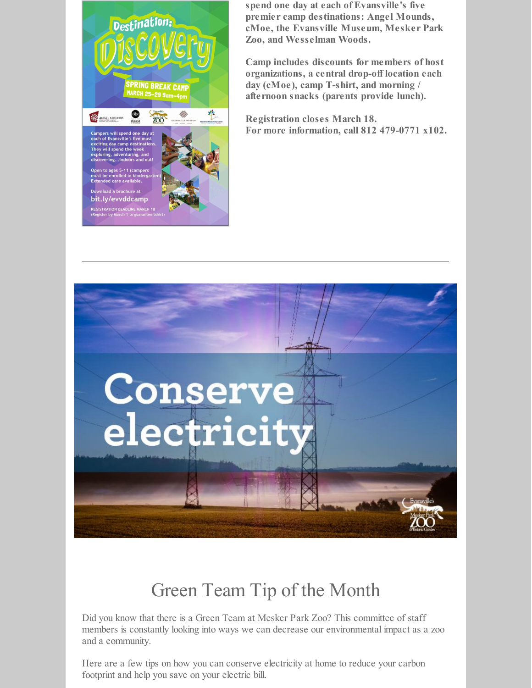

**spend one day at each of Evansville's five premier camp destinations: Angel Mounds, cMoe, the Evansville Museum, Mesker Park Zoo, and Wesselman Woods.**

**Camp includes discounts for members of host organizations, a central drop-off location each day (cMoe), camp T-shirt, and morning / afternoon snacks (parents provide lunch).**

**Registration closes March 18. For more information, call 812 479-0771 x102.**



## Green Team Tip of the Month

Did you know that there is a Green Team at Mesker Park Zoo? This committee of staff members is constantly looking into ways we can decrease our environmental impact as a zoo and a community.

Here are a few tips on how you can conserve electricity at home to reduce your carbon footprint and help you save on your electric bill.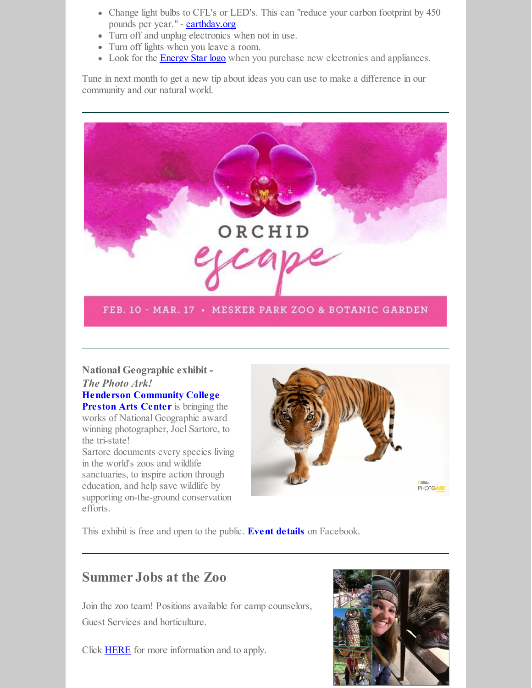- Change light bulbs to CFL's or LED's. This can "reduce your carbon footprint by 450 pounds per year." - [earthday.org](http://earthday.org)
- Turn off and unplug electronics when not in use.
- Turn off lights when you leave a room.
- Look for the **[Energy](https://www.energystar.gov/) Star logo** when you purchase new electronics and appliances.

Tune in next month to get a new tip about ideas you can use to make a difference in our community and our natural world.



**National Geographic exhibit -** *The Photo Ark!*

#### **Henderson [Community](https://wego.here.com/directions/mix//Preston-Arts-Center,-2660-S-Green-St,-42420-Henderson:e-eyJuYW1lIjoiUHJlc3RvbiBBcnRzIENlbnRlciIsImFkZHJlc3MiOiIyNjYwIFMgR3JlZW4gU3QsIEhlbmRlcnNvbiwgS2VudHVja3kgNDI0MjAiLCJsYXRpdHVkZSI6MzcuNzk3NjQxMjA5NTg4LCJsb25naXR1ZGUiOi04Ny42NTAwMDMxODQ2OTYsInByb3ZpZGVyTmFtZSI6ImZhY2Vib29rIiwicHJvdmlkZXJJZCI6MzAxODA3MDI5OTIxMTg1fQ==?map=37.79764,-87.65,15,normal&fb_locale=en_US) College**

**Preston Arts Center** is bringing the works of National Geographic award winning photographer, Joel Sartore, to the tri-state!

Sartore documents every species living in the world's zoos and wildlife sanctuaries, to inspire action through education, and help save wildlife by supporting on-the-ground conservation efforts.



This exhibit is free and open to the public. **Event [details](https://www.facebook.com/events/1261676423975404/)** on Facebook.

### **Summer Jobs at the Zoo**

Join the zoo team! Positions available for camp counselors, Guest Services and horticulture.

Click [HERE](https://www.meskerparkzoo.com/jobs/?fbclid=IwAR3jZElPEE-c5hBr5BaqIzLL9P5moLp-lMFTfXijHV8AfnljIYms8CcUicE) for more information and to apply.